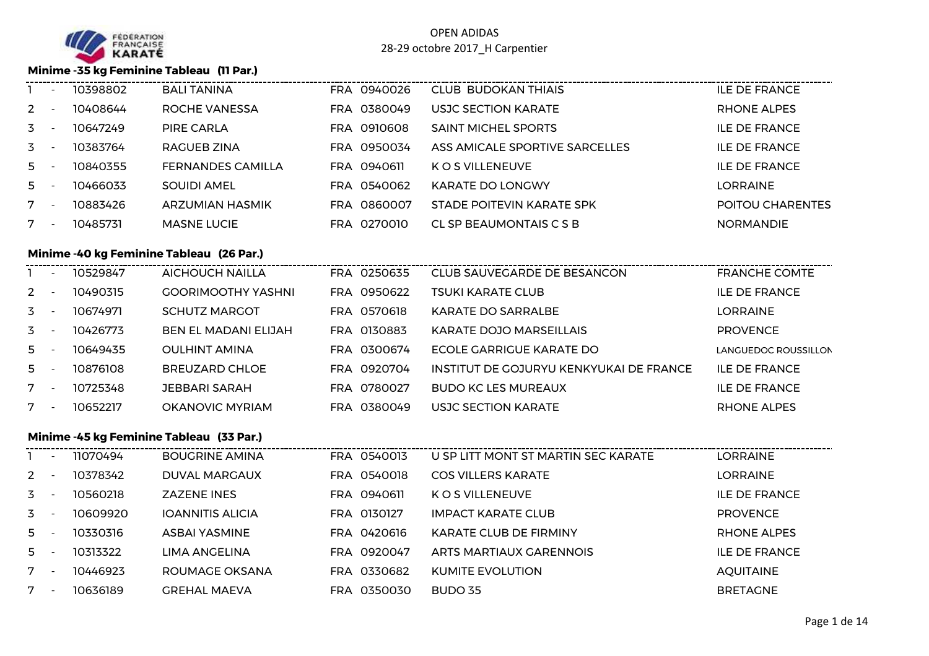

## **Minime -35 kg Feminine Tableau (11 Par.)**

|       | $\overline{\phantom{a}}$ | 10398802 | <b>BALI TANINA</b>       | FRA 0940026 | <b>CLUB BUDOKAN THIAIS</b>     | <b>ILE DE FRANCE</b> |
|-------|--------------------------|----------|--------------------------|-------------|--------------------------------|----------------------|
| $2 -$ |                          | 10408644 | ROCHE VANESSA            | FRA 0380049 | USJC SECTION KARATE            | RHONE ALPES          |
| $3 -$ |                          | 10647249 | PIRE CARLA               | FRA 0910608 | <b>SAINT MICHEL SPORTS</b>     | <b>ILE DE FRANCE</b> |
| $3 -$ |                          | 10383764 | RAGUEB ZINA              | FRA 0950034 | ASS AMICALE SPORTIVE SARCELLES | <b>ILE DE FRANCE</b> |
| $5 -$ |                          | 10840355 | <b>FERNANDES CAMILLA</b> | FRA 0940611 | K O S VILLENEUVE               | <b>ILE DE FRANCE</b> |
| $5 -$ |                          | 10466033 | <b>SOUIDI AMEL</b>       | FRA 0540062 | KARATE DO LONGWY               | <b>LORRAINE</b>      |
| $7 -$ |                          | 10883426 | ARZUMIAN HASMIK          | FRA 0860007 | STADE POITEVIN KARATE SPK      | POITOU CHARENTES     |
| 7     |                          | 10485731 | <b>MASNE LUCIE</b>       | FRA 0270010 | CL SP BEAUMONTAIS C S B        | <b>NORMANDIE</b>     |
|       |                          |          |                          |             |                                |                      |

### **Minime -40 kg Feminine Tableau (26 Par.)**

|                | $\overline{\phantom{a}}$ | 10529847 | AICHOUCH NAILLA             | FRA 0250635    | CLUB SAUVEGARDE DE BESANCON             | <b>FRANCHE COMTE</b> |
|----------------|--------------------------|----------|-----------------------------|----------------|-----------------------------------------|----------------------|
| $\overline{2}$ |                          | 10490315 | <b>GOORIMOOTHY YASHNI</b>   | FRA 0950622    | <b>TSUKI KARATE CLUB</b>                | <b>ILE DE FRANCE</b> |
| $\overline{3}$ |                          | 10674971 | <b>SCHUTZ MARGOT</b>        | FRA 0570618    | KARATE DO SARRALBE                      | LORRAINE             |
| $3 -$          |                          | 10426773 | <b>BEN EL MADANI ELIJAH</b> | FRA 0130883    | <b>KARATE DOJO MARSEILLAIS</b>          | <b>PROVENCE</b>      |
| $5 -$          |                          | 10649435 | <b>OULHINT AMINA</b>        | 0300674<br>FRA | ECOLE GARRIGUE KARATE DO                | LANGUEDOC ROUSSILLON |
| $5 -$          |                          | 10876108 | BREUZARD CHLOE              | FRA 0920704    | INSTITUT DE GOJURYU KENKYUKAI DE FRANCE | <b>ILE DE FRANCE</b> |
| $7^{\circ}$    | $\sim$                   | 10725348 | JEBBARI SARAH               | FRA 0780027    | <b>BUDO KC LES MUREAUX</b>              | <b>ILE DE FRANCE</b> |
| 7              |                          | 10652217 | OKANOVIC MYRIAM             | FRA 0380049    | USJC SECTION KARATE                     | RHONE ALPES          |
|                |                          |          |                             |                |                                         |                      |

#### **Minime -45 kg Feminine Tableau (33 Par.)**

|                | 11070494 | <b>BOUGRINE AMINA</b>   | FRA 0540013    | U SP LITT MONT ST MARTIN SEC KARATE | <b>LORRAINE</b>      |
|----------------|----------|-------------------------|----------------|-------------------------------------|----------------------|
| $2^{\circ}$    | 10378342 | DUVAL MARGAUX           | FRA 0540018    | <b>COS VILLERS KARATE</b>           | <b>LORRAINE</b>      |
| $\overline{3}$ | 10560218 | <b>ZAZENE INES</b>      | FRA 0940611    | K O S VILLENEUVE                    | <b>ILE DE FRANCE</b> |
| $\overline{3}$ | 10609920 | <b>IOANNITIS ALICIA</b> | FRA 0130127    | <b>IMPACT KARATE CLUB</b>           | <b>PROVENCE</b>      |
| $5 -$          | 10330316 | ASBAI YASMINE           | FRA 0420616    | KARATE CLUB DE FIRMINY              | RHONE ALPES          |
| $5 -$          | 10313322 | LIMA ANGELINA           | FRA 0920047    | ARTS MARTIAUX GARENNOIS             | <b>ILE DE FRANCE</b> |
| 7              | 10446923 | ROUMAGE OKSANA          | 0330682<br>FRA | KUMITE EVOLUTION                    | <b>AQUITAINE</b>     |
| $7^{\circ}$    | 10636189 | <b>GREHAL MAEVA</b>     | FRA 0350030    | BUDO 35                             | <b>BRETAGNE</b>      |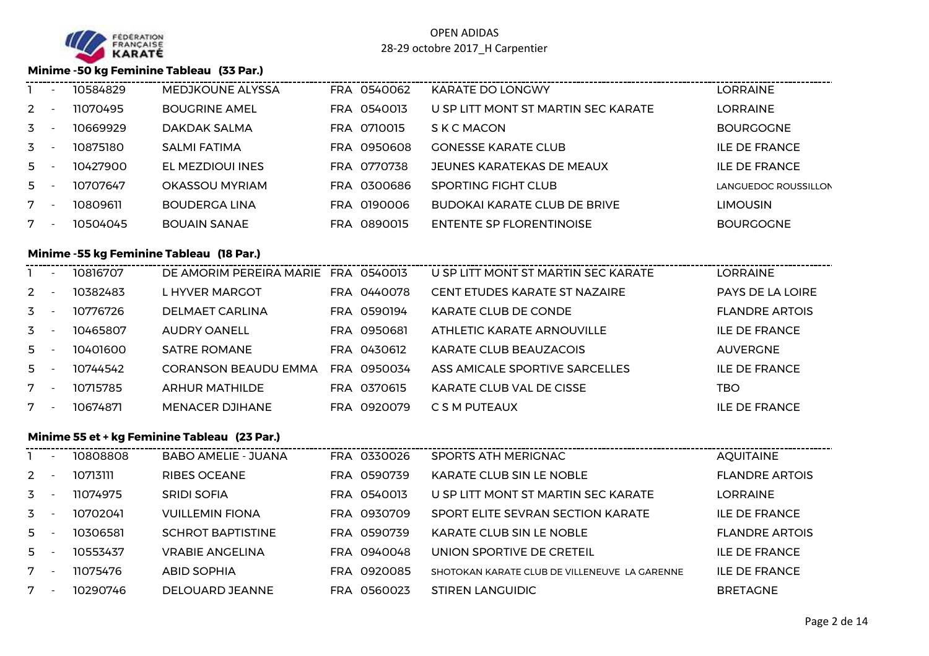

# **Minime -50 kg Feminine Tableau (33 Par.)**

|       | $\overline{\phantom{a}}$ | 10584829 | <b>MEDJKOUNE ALYSSA</b> | FRA 0540062 | <b>KARATE DO LONGWY</b>             | <b>LORRAINE</b>      |
|-------|--------------------------|----------|-------------------------|-------------|-------------------------------------|----------------------|
| $2 -$ |                          | 11070495 | <b>BOUGRINE AMEL</b>    | FRA 0540013 | U SP LITT MONT ST MARTIN SEC KARATE | <b>LORRAINE</b>      |
| 3     |                          | 10669929 | DAKDAK SALMA            | FRA 0710015 | S K C MACON                         | <b>BOURGOGNE</b>     |
| $3 -$ |                          | 10875180 | <b>SALMI FATIMA</b>     | FRA 0950608 | <b>GONESSE KARATE CLUB</b>          | <b>ILE DE FRANCE</b> |
| $5 -$ |                          | 10427900 | EL MEZDIOUI INES        | FRA 0770738 | JEUNES KARATEKAS DE MEAUX           | <b>ILE DE FRANCE</b> |
| $5 -$ |                          | 10707647 | OKASSOU MYRIAM          | FRA 0300686 | SPORTING FIGHT CLUB                 | LANGUEDOC ROUSSILLON |
| 7     |                          | 10809611 | <b>BOUDERGA LINA</b>    | FRA 0190006 | <b>BUDOKAI KARATE CLUB DE BRIVE</b> | <b>LIMOUSIN</b>      |
| 7     |                          | 10504045 | <b>BOUAIN SANAE</b>     | FRA 0890015 | <b>ENTENTE SP FLORENTINOISE</b>     | <b>BOURGOGNE</b>     |

### **Minime -55 kg Feminine Tableau (18 Par.)**

|             | $\sim$                   | 10816707 | DE AMORIM PEREIRA MARIE FRA 0540013 |             | U SP LITT MONT ST MARTIN SEC KARATE | LORRAINE                |
|-------------|--------------------------|----------|-------------------------------------|-------------|-------------------------------------|-------------------------|
| $2 -$       |                          | 10382483 | L HYVER MARGOT                      | FRA 0440078 | CENT ETUDES KARATE ST NAZAIRE       | <b>PAYS DE LA LOIRE</b> |
| $3 -$       |                          | 10776726 | DELMAET CARLINA                     | FRA 0590194 | KARATE CLUB DE CONDE                | <b>FLANDRE ARTOIS</b>   |
| $3 -$       |                          | 10465807 | AUDRY OANELL                        | FRA 0950681 | ATHLETIC KARATE ARNOUVILLE          | <b>ILE DE FRANCE</b>    |
| $5 -$       |                          | 10401600 | <b>SATRE ROMANE</b>                 | FRA 0430612 | <b>KARATE CLUB BEAUZACOIS</b>       | <b>AUVERGNE</b>         |
| $5 -$       |                          | 10744542 | <b>CORANSON BEAUDU EMMA</b>         | FRA 0950034 | ASS AMICALE SPORTIVE SARCELLES      | <b>ILE DE FRANCE</b>    |
| $7^{\circ}$ | $\overline{\phantom{a}}$ | 10715785 | <b>ARHUR MATHILDE</b>               | FRA 0370615 | <b>KARATE CLUB VAL DE CISSE</b>     | TBO                     |
| $7 -$       |                          | 10674871 | <b>MENACER DJIHANE</b>              | FRA 0920079 | C S M PUTEAUX                       | <b>ILE DE FRANCE</b>    |

#### **Minime 55 et + kg Feminine Tableau (23 Par.)**

|                | 10808808 | BABO AMELIE - JUANA      | FRA 0330026 | SPORTS ATH MERIGNAC                           | <b>AQUITAINE</b>      |
|----------------|----------|--------------------------|-------------|-----------------------------------------------|-----------------------|
| $2^{\circ}$    | 10713111 | RIBES OCEANE             | FRA 0590739 | KARATE CLUB SIN LE NOBLE                      | <b>FLANDRE ARTOIS</b> |
| $3 -$          | 11074975 | SRIDI SOFIA              | FRA 0540013 | U SP LITT MONT ST MARTIN SEC KARATE           | LORRAINE              |
| $\overline{3}$ | 10702041 | <b>VUILLEMIN FIONA</b>   | FRA 0930709 | SPORT ELITE SEVRAN SECTION KARATE             | <b>ILE DE FRANCE</b>  |
| 5              | 10306581 | <b>SCHROT BAPTISTINE</b> | FRA 0590739 | KARATE CLUB SIN LE NOBLE                      | <b>FLANDRE ARTOIS</b> |
| $5 -$          | 10553437 | <b>VRABIE ANGELINA</b>   | FRA 0940048 | UNION SPORTIVE DE CRETEIL                     | <b>ILE DE FRANCE</b>  |
| 7              | 11075476 | <b>ABID SOPHIA</b>       | FRA 0920085 | SHOTOKAN KARATE CLUB DE VILLENEUVE LA GARENNE | <b>ILE DE FRANCE</b>  |
| 7              | 10290746 | DELOUARD JEANNE          | FRA 0560023 | <b>STIREN LANGUIDIC</b>                       | <b>BRETAGNE</b>       |
|                |          |                          |             |                                               |                       |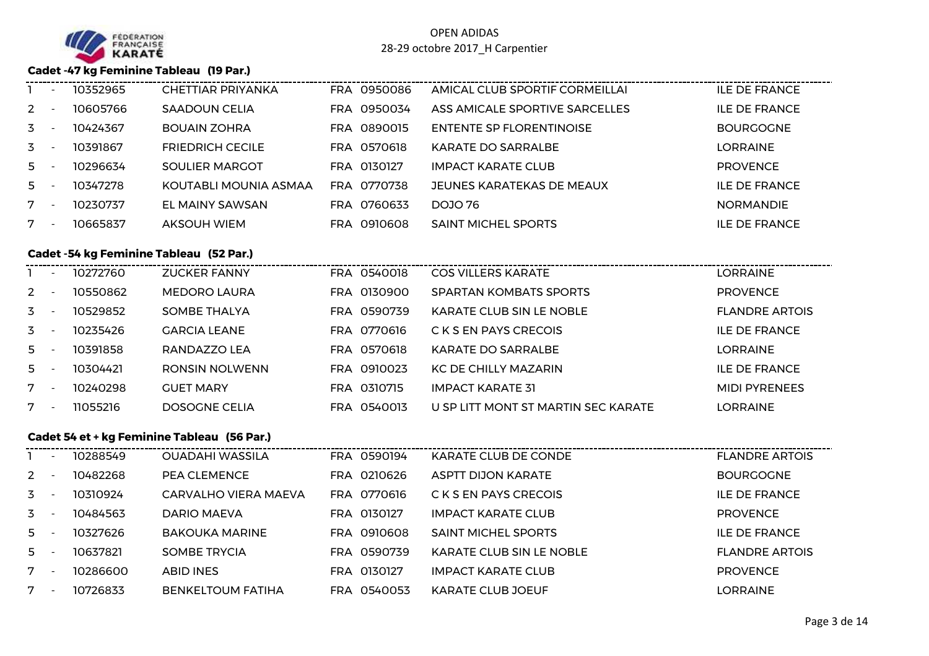

### **Cadet -47 kg Feminine Tableau (19 Par.)**

|                | 10352965 | CHETTIAR PRIYANKA       | FRA 0950086    | AMICAL CLUB SPORTIF CORMEILLAI  | <b>ILE DE FRANCE</b> |
|----------------|----------|-------------------------|----------------|---------------------------------|----------------------|
| $2^{\circ}$    | 10605766 | SAADOUN CELIA           | 0950034<br>FRA | ASS AMICALE SPORTIVE SARCELLES  | <b>ILE DE FRANCE</b> |
| $\overline{3}$ | 10424367 | <b>BOUAIN ZOHRA</b>     | FRA 0890015    | <b>ENTENTE SP FLORENTINOISE</b> | <b>BOURGOGNE</b>     |
| $\mathbf{3}$   | 10391867 | <b>FRIEDRICH CECILE</b> | FRA 0570618    | KARATE DO SARRALBE              | LORRAINE             |
| 5 <sup>7</sup> | 10296634 | SOULIER MARGOT          | FRA 0130127    | <b>IMPACT KARATE CLUB</b>       | <b>PROVENCE</b>      |
| 5              | 10347278 | KOUTABLI MOUNIA ASMAA   | FRA 0770738    | JEUNES KARATEKAS DE MEAUX       | <b>ILE DE FRANCE</b> |
| 7              | 10230737 | EL MAINY SAWSAN         | FRA 0760633    | DOJO 76                         | <b>NORMANDIE</b>     |
|                | 10665837 | AKSOUH WIEM             | FRA 0910608    | <b>SAINT MICHEL SPORTS</b>      | <b>ILE DE FRANCE</b> |
|                |          |                         |                |                                 |                      |

## **Cadet -54 kg Feminine Tableau (52 Par.)**

| $1 -$ | 10272760 | <b>ZUCKER FANNY</b> | FRA 0540018 | <b>COS VILLERS KARATE</b>           | LORRAINE              |
|-------|----------|---------------------|-------------|-------------------------------------|-----------------------|
| $2 -$ | 10550862 | <b>MEDORO LAURA</b> | FRA 0130900 | <b>SPARTAN KOMBATS SPORTS</b>       | <b>PROVENCE</b>       |
| $3 -$ | 10529852 | SOMBE THALYA        | FRA 0590739 | KARATE CLUB SIN LE NOBLE            | <b>FLANDRE ARTOIS</b> |
| $3 -$ | 10235426 | <b>GARCIA LEANE</b> | FRA 0770616 | C K S EN PAYS CRECOIS               | <b>ILE DE FRANCE</b>  |
| $5 -$ | 10391858 | RANDAZZO LEA        | FRA 0570618 | KARATE DO SARRALBE                  | <b>LORRAINE</b>       |
| $5 -$ | 10304421 | RONSIN NOLWENN      | FRA 0910023 | KC DE CHILLY MAZARIN                | <b>ILE DE FRANCE</b>  |
| $7 -$ | 10240298 | <b>GUET MARY</b>    | FRA 0310715 | <b>IMPACT KARATE 31</b>             | <b>MIDI PYRENEES</b>  |
| $7 -$ | 11055216 | DOSOGNE CELIA       | FRA 0540013 | U SP LITT MONT ST MARTIN SEC KARATE | <b>LORRAINE</b>       |
|       |          |                     |             |                                     |                       |

#### **Cadet 54 et + kg Feminine Tableau (56 Par.)**

|              | 10288549 | OUADAHI WASSILA          | FRA 0590194           | KARATE CLUB DE CONDE            | <b>FLANDRE ARTOIS</b> |
|--------------|----------|--------------------------|-----------------------|---------------------------------|-----------------------|
| $\mathbf{2}$ | 10482268 | <b>PEA CLEMENCE</b>      | FRA 0210626           | <b>ASPTT DIJON KARATE</b>       | <b>BOURGOGNE</b>      |
| 3            | 10310924 | CARVALHO VIERA MAEVA     | FRA 0770616           | C K S EN PAYS CRECOIS           | <b>ILE DE FRANCE</b>  |
| 3            | 10484563 | DARIO MAEVA              | FRA 0130127           | <b>IMPACT KARATE CLUB</b>       | <b>PROVENCE</b>       |
| 5            | 10327626 | <b>BAKOUKA MARINE</b>    | FRA 0910608           | <b>SAINT MICHEL SPORTS</b>      | <b>ILE DE FRANCE</b>  |
| 5            | 10637821 | <b>SOMBE TRYCIA</b>      | FRA 0590739           | <b>KARATE CLUB SIN LE NOBLE</b> | <b>FLANDRE ARTOIS</b> |
| $7^{\circ}$  | 10286600 | <b>ABID INES</b>         | 0130127<br>FRA        | <b>IMPACT KARATE CLUB</b>       | <b>PROVENCE</b>       |
| 7            | 10726833 | <b>BENKELTOUM FATIHA</b> | 0540053<br><b>FRA</b> | <b>KARATE CLUB JOEUF</b>        | LORRAINE              |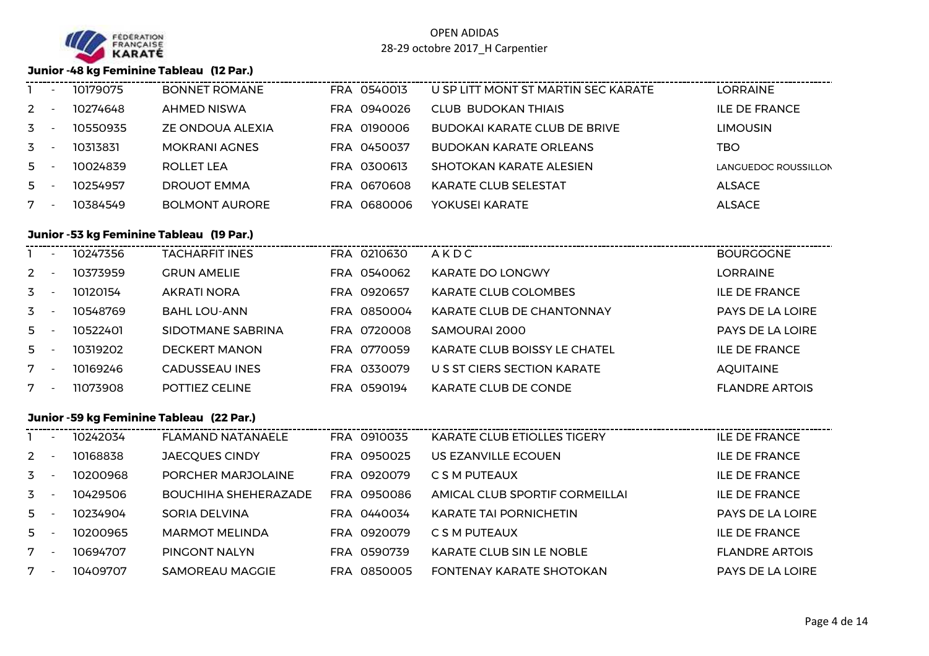

# **Junior -48 kg Feminine Tableau (12 Par.)**

|                | 10179075 | <b>BONNET ROMANE</b>  | FRA 0540013 | U SP LITT MONT ST MARTIN SEC KARATE | LORRAINE             |
|----------------|----------|-----------------------|-------------|-------------------------------------|----------------------|
| 2              | 10274648 | AHMED NISWA           | FRA 0940026 | CLUB BUDOKAN THIAIS                 | <b>ILE DE FRANCE</b> |
| $3 -$          | 10550935 | ZE ONDOUA ALEXIA      | FRA 0190006 | <b>BUDOKAI KARATE CLUB DE BRIVE</b> | LIMOUSIN             |
| $\mathbf{3}$   | 10313831 | <b>MOKRANI AGNES</b>  | FRA 0450037 | <b>BUDOKAN KARATE ORLEANS</b>       | TBO                  |
| 5 -            | 10024839 | <b>ROLLET LEA</b>     | FRA 0300613 | <b>SHOTOKAN KARATE ALESIEN</b>      | LANGUEDOC ROUSSILLON |
| 5 <sub>1</sub> | 10254957 | DROUOT EMMA           | FRA 0670608 | <b>KARATE CLUB SELESTAT</b>         | <b>ALSACE</b>        |
|                | 10384549 | <b>BOLMONT AURORE</b> | FRA 0680006 | YOKUSEI KARATE                      | <b>ALSACE</b>        |
|                |          |                       |             |                                     |                      |

### **Junior -53 kg Feminine Tableau (19 Par.)**

|                | $\overline{\phantom{a}}$ | 10247356 | <b>TACHARFIT INES</b> | FRA 0210630 | AKDC                                | <b>BOURGOGNE</b>        |
|----------------|--------------------------|----------|-----------------------|-------------|-------------------------------------|-------------------------|
| $2 -$          |                          | 10373959 | <b>GRUN AMELIE</b>    | FRA 0540062 | <b>KARATE DO LONGWY</b>             | <b>LORRAINE</b>         |
| $\overline{3}$ |                          | 10120154 | AKRATI NORA           | FRA 0920657 | KARATE CLUB COLOMBES                | <b>ILE DE FRANCE</b>    |
| $3 -$          |                          | 10548769 | <b>BAHL LOU-ANN</b>   | FRA 0850004 | <b>KARATE CLUB DE CHANTONNAY</b>    | <b>PAYS DE LA LOIRE</b> |
| $5 -$          |                          | 10522401 | SIDOTMANE SABRINA     | FRA 0720008 | SAMOURAI 2000                       | <b>PAYS DE LA LOIRE</b> |
| $5 -$          |                          | 10319202 | <b>DECKERT MANON</b>  | FRA 0770059 | <b>KARATE CLUB BOISSY LE CHATEL</b> | <b>ILE DE FRANCE</b>    |
| 7              | $\overline{\phantom{a}}$ | 10169246 | CADUSSEAU INES        | FRA 0330079 | U S ST CIERS SECTION KARATE         | <b>AOUITAINE</b>        |
| 7              | <b>.</b>                 | 11073908 | <b>POTTIEZ CELINE</b> | FRA 0590194 | KARATE CLUB DE CONDE                | <b>FLANDRE ARTOIS</b>   |
|                |                          |          |                       |             |                                     |                         |

### **Junior -59 kg Feminine Tableau (22 Par.)**

|                | 10242034 | <b>FLAMAND NATANAELE</b>    | FRA 0910035 | <b>KARATE CLUB ETIOLLES TIGERY</b> | <b>ILE DE FRANCE</b>    |
|----------------|----------|-----------------------------|-------------|------------------------------------|-------------------------|
| $2^{\circ}$    | 10168838 | <b>JAECQUES CINDY</b>       | FRA 0950025 | US EZANVILLE ECOUEN                | <b>ILE DE FRANCE</b>    |
| $\mathbf{3}$   | 10200968 | PORCHER MARJOLAINE          | FRA 0920079 | C S M PUTEAUX                      | <b>ILE DE FRANCE</b>    |
| $\overline{3}$ | 10429506 | <b>BOUCHIHA SHEHERAZADE</b> | FRA 0950086 | AMICAL CLUB SPORTIF CORMEILLAI     | <b>ILE DE FRANCE</b>    |
| 5 <sup>1</sup> | 10234904 | <b>SORIA DELVINA</b>        | FRA 0440034 | <b>KARATE TAI PORNICHETIN</b>      | <b>PAYS DE LA LOIRE</b> |
| 5              | 10200965 | <b>MARMOT MELINDA</b>       | FRA 0920079 | C S M PUTEAUX                      | <b>ILE DE FRANCE</b>    |
| 7              | 10694707 | PINGONT NALYN               | FRA 0590739 | <b>KARATE CLUB SIN LE NOBLE</b>    | <b>FLANDRE ARTOIS</b>   |
| 7              | 10409707 | SAMOREAU MAGGIE             | FRA 0850005 | <b>FONTENAY KARATE SHOTOKAN</b>    | <b>PAYS DE LA LOIRE</b> |
|                |          |                             |             |                                    |                         |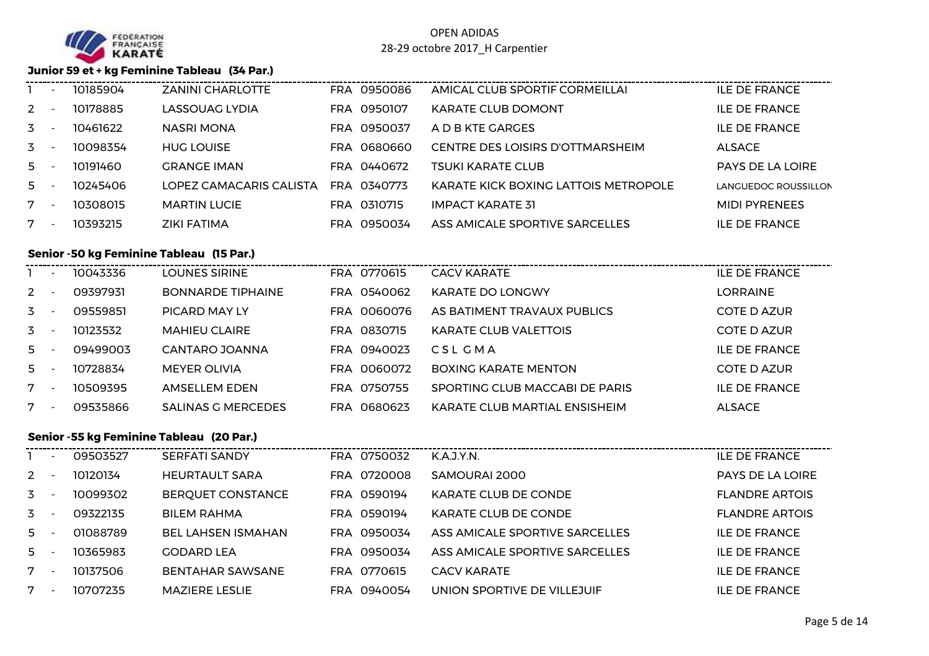

# **Junior 59 et + kg Feminine Tableau (34 Par.)**

|                | 10185904 | <b>ZANINI CHARLOTTE</b> | FRA 0950086 | AMICAL CLUB SPORTIF CORMEILLAI              | <b>ILE DE FRANCE</b>    |
|----------------|----------|-------------------------|-------------|---------------------------------------------|-------------------------|
| $\overline{2}$ | 10178885 | LASSOUAG LYDIA          | FRA 0950107 | <b>KARATE CLUB DOMONT</b>                   | <b>ILE DE FRANCE</b>    |
| $\overline{3}$ | 10461622 | <b>NASRI MONA</b>       | FRA 0950037 | A D B KTE GARGES                            | <b>ILE DE FRANCE</b>    |
| $\mathbf{3}$   | 10098354 | <b>HUG LOUISE</b>       | FRA 0680660 | CENTRE DES LOISIRS D'OTTMARSHEIM            | ALSACE                  |
| $5 -$          | 10191460 | <b>GRANGE IMAN</b>      | FRA 0440672 | <b>TSUKI KARATE CLUB</b>                    | <b>PAYS DE LA LOIRE</b> |
| $5 -$          | 10245406 | LOPEZ CAMACARIS CALISTA | FRA 0340773 | <b>KARATE KICK BOXING LATTOIS METROPOLE</b> | LANGUEDOC ROUSSILLON    |
| $7^{\circ}$    | 10308015 | <b>MARTIN LUCIE</b>     | FRA 0310715 | <b>IMPACT KARATE 31</b>                     | <b>MIDI PYRENEES</b>    |
| $7^{\circ}$    | 10393215 | ZIKI FATIMA             | FRA 0950034 | ASS AMICALE SPORTIVE SARCELLES              | <b>ILE DE FRANCE</b>    |

### **Senior -50 kg Feminine Tableau (15 Par.)**

|       | $\overline{\phantom{a}}$ | 10043336 | <b>LOUNES SIRINE</b>      | FRA 0770615 | <b>CACV KARATE</b>             | <b>ILE DE FRANCE</b> |
|-------|--------------------------|----------|---------------------------|-------------|--------------------------------|----------------------|
| $2 -$ |                          | 09397931 | <b>BONNARDE TIPHAINE</b>  | FRA 0540062 | <b>KARATE DO LONGWY</b>        | <b>LORRAINE</b>      |
| $3 -$ |                          | 09559851 | PICARD MAY LY             | FRA 0060076 | AS BATIMENT TRAVAUX PUBLICS    | COTE D AZUR          |
| $3 -$ |                          | 10123532 | <b>MAHIEU CLAIRE</b>      | FRA 0830715 | <b>KARATE CLUB VALETTOIS</b>   | COTE D AZUR          |
| $5 -$ |                          | 09499003 | CANTARO JOANNA            | FRA 0940023 | CSL GMA                        | <b>ILE DE FRANCE</b> |
| $5 -$ |                          | 10728834 | <b>MEYER OLIVIA</b>       | FRA 0060072 | BOXING KARATE MENTON           | COTE D AZUR          |
| $7 -$ |                          | 10509395 | AMSELLEM EDEN             | FRA 0750755 | SPORTING CLUB MACCABI DE PARIS | <b>ILE DE FRANCE</b> |
| $7 -$ |                          | 09535866 | <b>SALINAS G MERCEDES</b> | FRA 0680623 | KARATE CLUB MARTIAL ENSISHEIM  | <b>ALSACE</b>        |
|       |                          |          |                           |             |                                |                      |

#### **Senior -55 kg Feminine Tableau (20 Par.)**

|                | 09503527 | <b>SERFATI SANDY</b>      | FRA 0750032 | K.A.J.Y.N.                     | <b>ILE DE FRANCE</b>    |
|----------------|----------|---------------------------|-------------|--------------------------------|-------------------------|
| 2              | 10120134 | <b>HEURTAULT SARA</b>     | FRA 0720008 | SAMOURAL 2000                  | <b>PAYS DE LA LOIRE</b> |
| 3              | 10099302 | <b>BERQUET CONSTANCE</b>  | FRA 0590194 | <b>KARATE CLUB DE CONDE</b>    | <b>FLANDRE ARTOIS</b>   |
| $\overline{3}$ | 09322135 | <b>BILEM RAHMA</b>        | FRA 0590194 | KARATE CLUB DE CONDE           | <b>FLANDRE ARTOIS</b>   |
| 5              | 01088789 | <b>BEL LAHSEN ISMAHAN</b> | FRA 0950034 | ASS AMICALE SPORTIVE SARCELLES | <b>ILE DE FRANCE</b>    |
| 5.             | 10365983 | <b>GODARD LEA</b>         | FRA 0950034 | ASS AMICALE SPORTIVE SARCELLES | <b>ILE DE FRANCE</b>    |
| 7              | 10137506 | <b>BENTAHAR SAWSANE</b>   | FRA 0770615 | <b>CACV KARATE</b>             | <b>ILE DE FRANCE</b>    |
| $7^{\circ}$    | 10707235 | <b>MAZIERE LESLIE</b>     | FRA 0940054 | UNION SPORTIVE DE VILLEJUIF    | <b>ILE DE FRANCE</b>    |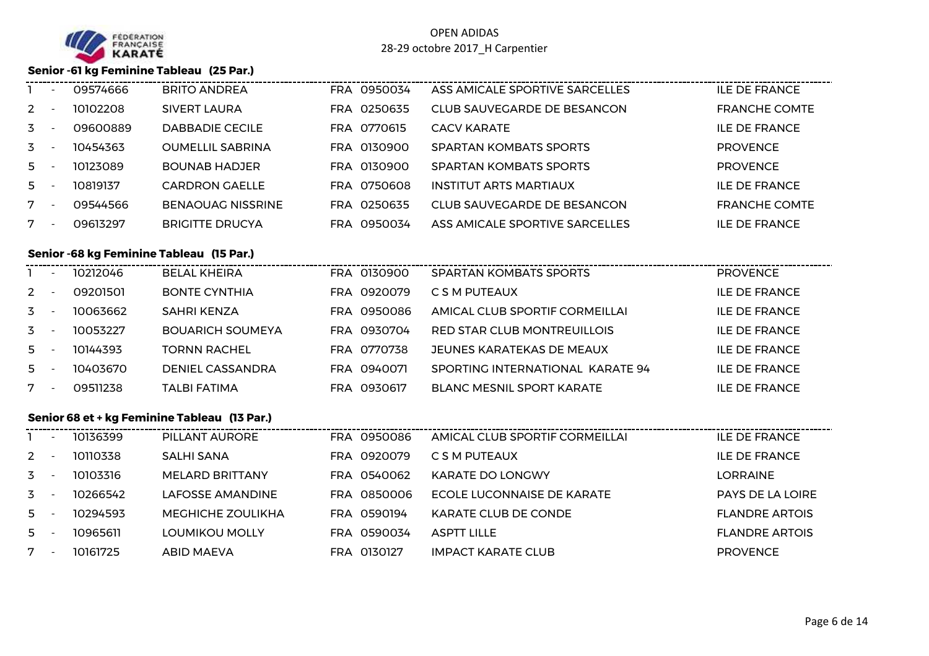

### **Senior -61 kg Feminine Tableau (25 Par.)**

|                | <b>11</b> | 09574666 | <b>BRITO ANDREA</b>      | FRA 0950034 | ASS AMICALE SPORTIVE SARCELLES | <b>ILE DE FRANCE</b> |
|----------------|-----------|----------|--------------------------|-------------|--------------------------------|----------------------|
| 2              |           | 10102208 | SIVERT LAURA             | FRA 0250635 | CLUB SAUVEGARDE DE BESANCON    | <b>FRANCHE COMTE</b> |
| $\overline{3}$ |           | 09600889 | DABBADIE CECILE          | FRA 0770615 | <b>CACV KARATE</b>             | <b>ILE DE FRANCE</b> |
| $\overline{3}$ |           | 10454363 | <b>OUMELLIL SABRINA</b>  | FRA 0130900 | <b>SPARTAN KOMBATS SPORTS</b>  | <b>PROVENCE</b>      |
| $5 -$          |           | 10123089 | <b>BOUNAB HADJER</b>     | FRA 0130900 | <b>SPARTAN KOMBATS SPORTS</b>  | <b>PROVENCE</b>      |
| 5 <sup>7</sup> |           | 10819137 | <b>CARDRON GAELLE</b>    | FRA 0750608 | <b>INSTITUT ARTS MARTIAUX</b>  | <b>ILE DE FRANCE</b> |
| $7^{\circ}$    |           | 09544566 | <b>BENAOUAG NISSRINE</b> | FRA 0250635 | CLUB SAUVEGARDE DE BESANCON    | <b>FRANCHE COMTE</b> |
| 7              |           | 09613297 | <b>BRIGITTE DRUCYA</b>   | FRA 0950034 | ASS AMICALE SPORTIVE SARCELLES | <b>ILE DE FRANCE</b> |

### **Senior -68 kg Feminine Tableau (15 Par.)**

|       | $\overline{\phantom{a}}$ | 10212046 | <b>BELAL KHEIRA</b>     | FRA 0130900 | <b>SPARTAN KOMBATS SPORTS</b>    | <b>PROVENCE</b>      |
|-------|--------------------------|----------|-------------------------|-------------|----------------------------------|----------------------|
| $2 -$ |                          | 09201501 | <b>BONTE CYNTHIA</b>    | FRA 0920079 | C S M PUTEAUX                    | <b>ILE DE FRANCE</b> |
| $3 -$ |                          | 10063662 | SAHRI KENZA             | FRA 0950086 | AMICAL CLUB SPORTIF CORMEILLAI   | <b>ILE DE FRANCE</b> |
| $3 -$ |                          | 10053227 | <b>BOUARICH SOUMEYA</b> | FRA 0930704 | RED STAR CLUB MONTREUILLOIS      | <b>ILE DE FRANCE</b> |
| $5 -$ |                          | 10144393 | <b>TORNN RACHEL</b>     | FRA 0770738 | JEUNES KARATEKAS DE MEAUX        | <b>ILE DE FRANCE</b> |
| $5 -$ |                          | 10403670 | DENIEL CASSANDRA        | FRA 0940071 | SPORTING INTERNATIONAL KARATE 94 | <b>ILE DE FRANCE</b> |
| 7     | - 1                      | 09511238 | TALBI FATIMA            | FRA 0930617 | <b>BLANC MESNIL SPORT KARATE</b> | <b>ILE DE FRANCE</b> |

### **Senior 68 et + kg Feminine Tableau (13 Par.)**

|                | 10136399 | PILLANT AURORE         | FRA 0950086 | AMICAL CLUB SPORTIF CORMEILLAI | <b>ILE DE FRANCE</b>    |
|----------------|----------|------------------------|-------------|--------------------------------|-------------------------|
| $\overline{2}$ | 10110338 | SALHI SANA             | FRA 0920079 | C S M PUTEAUX                  | <b>ILE DE FRANCE</b>    |
| 3              | 10103316 | <b>MELARD BRITTANY</b> | FRA 0540062 | KARATE DO LONGWY               | LORRAINE                |
| $3 -$          | 10266542 | LAFOSSE AMANDINE       | FRA 0850006 | ECOLE LUCONNAISE DE KARATE     | <b>PAYS DE LA LOIRE</b> |
| $5 -$          | 10294593 | MEGHICHE ZOULIKHA      | FRA 0590194 | KARATE CLUB DE CONDE           | <b>FLANDRE ARTOIS</b>   |
| 5              | 10965611 | LOUMIKOU MOLLY         | FRA 0590034 | ASPTT LILLE                    | <b>FLANDRE ARTOIS</b>   |
| 7              | 10161725 | ABID MAEVA             | FRA 0130127 | <b>IMPACT KARATE CLUB</b>      | <b>PROVENCE</b>         |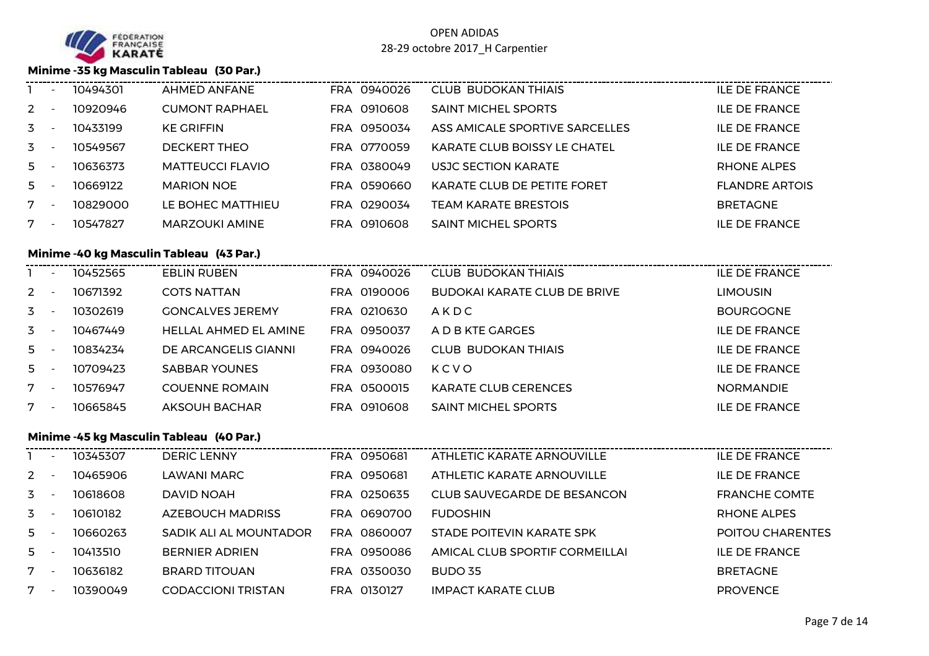

### **Minime -35 kg Masculin Tableau (30 Par.)**

|                | $\overline{\phantom{a}}$ | 10494301 | AHMED ANFANE            | FRA 0940026    | CLUB BUDOKAN THIAIS                | <b>ILE DE FRANCE</b>  |
|----------------|--------------------------|----------|-------------------------|----------------|------------------------------------|-----------------------|
| $2 -$          |                          | 10920946 | <b>CUMONT RAPHAEL</b>   | FRA 0910608    | <b>SAINT MICHEL SPORTS</b>         | <b>ILE DE FRANCE</b>  |
| $\overline{3}$ |                          | 10433199 | <b>KE GRIFFIN</b>       | 0950034<br>FRA | ASS AMICALE SPORTIVE SARCELLES     | <b>ILE DE FRANCE</b>  |
| $3 -$          |                          | 10549567 | <b>DECKERT THEO</b>     | FRA 0770059    | KARATE CLUB BOISSY LE CHATEL       | <b>ILE DE FRANCE</b>  |
| $5 -$          |                          | 10636373 | <b>MATTEUCCI FLAVIO</b> | FRA 0380049    | USJC SECTION KARATE                | RHONE ALPES           |
| $5 -$          |                          | 10669122 | <b>MARION NOE</b>       | FRA 0590660    | <b>KARATE CLUB DE PETITE FORET</b> | <b>FLANDRE ARTOIS</b> |
| 7              | <b>.</b>                 | 10829000 | LE BOHEC MATTHIEU       | 0290034<br>FRA | <b>TEAM KARATE BRESTOIS</b>        | <b>BRETAGNE</b>       |
| $7^{\circ}$    |                          | 10547827 | <b>MARZOUKI AMINE</b>   | FRA 0910608    | <b>SAINT MICHEL SPORTS</b>         | <b>ILE DE FRANCE</b>  |

### **Minime -40 kg Masculin Tableau (43 Par.)**

|       | $\overline{\phantom{a}}$ | 10452565 | <b>EBLIN RUBEN</b>           | FRA 0940026    | <b>CLUB BUDOKAN THIAIS</b>          | <b>ILE DE FRANCE</b> |
|-------|--------------------------|----------|------------------------------|----------------|-------------------------------------|----------------------|
| $2 -$ |                          | 10671392 | <b>COTS NATTAN</b>           | FRA 0190006    | <b>BUDOKAI KARATE CLUB DE BRIVE</b> | LIMOUSIN             |
| $3 -$ |                          | 10302619 | <b>GONCALVES JEREMY</b>      | FRA 0210630    | AKDC                                | <b>BOURGOGNE</b>     |
| $3 -$ |                          | 10467449 | <b>HELLAL AHMED EL AMINE</b> | FRA 0950037    | A D B KTE GARGES                    | <b>ILE DE FRANCE</b> |
| $5 -$ |                          | 10834234 | DE ARCANGELIS GIANNI         | FRA 0940026    | CLUB BUDOKAN THIAIS                 | <b>ILE DE FRANCE</b> |
| $5 -$ |                          | 10709423 | <b>SABBAR YOUNES</b>         | FRA 0930080    | KCVO                                | <b>ILE DE FRANCE</b> |
| 7     | $\overline{\phantom{a}}$ | 10576947 | <b>COUENNE ROMAIN</b>        | FRA 0500015    | <b>KARATE CLUB CERENCES</b>         | <b>NORMANDIE</b>     |
| $7 -$ |                          | 10665845 | AKSOUH BACHAR                | 0910608<br>FRA | <b>SAINT MICHEL SPORTS</b>          | <b>ILE DE FRANCE</b> |
|       |                          |          |                              |                |                                     |                      |

#### **Minime -45 kg Masculin Tableau (40 Par.)**

|              | 10345307 | <b>DERIC LENNY</b>        | FRA 0950681 | ATHLETIC KARATE ARNOUVILLE     | <b>ILE DE FRANCE</b> |
|--------------|----------|---------------------------|-------------|--------------------------------|----------------------|
| $2^{\circ}$  | 10465906 | LAWANI MARC               | FRA 0950681 | ATHLETIC KARATE ARNOUVILLE     | <b>ILE DE FRANCE</b> |
| $\mathbf{3}$ | 10618608 | DAVID NOAH                | FRA 0250635 | CLUB SAUVEGARDE DE BESANCON    | <b>FRANCHE COMTE</b> |
| $\mathbf{3}$ | 10610182 | AZEBOUCH MADRISS          | FRA 0690700 | <b>FUDOSHIN</b>                | RHONE ALPES          |
| $5 -$        | 10660263 | SADIK ALI AL MOUNTADOR    | FRA 0860007 | STADE POITEVIN KARATE SPK      | POITOU CHARENTES     |
| 5            | 10413510 | <b>BERNIER ADRIEN</b>     | FRA 0950086 | AMICAL CLUB SPORTIF CORMEILLAI | <b>ILE DE FRANCE</b> |
| $7^{\circ}$  | 10636182 | BRARD TITOUAN             | FRA 0350030 | <b>BUDO 35</b>                 | <b>BRETAGNE</b>      |
| 7            | 10390049 | <b>CODACCIONI TRISTAN</b> | FRA 0130127 | <b>IMPACT KARATE CLUB</b>      | <b>PROVENCE</b>      |
|              |          |                           |             |                                |                      |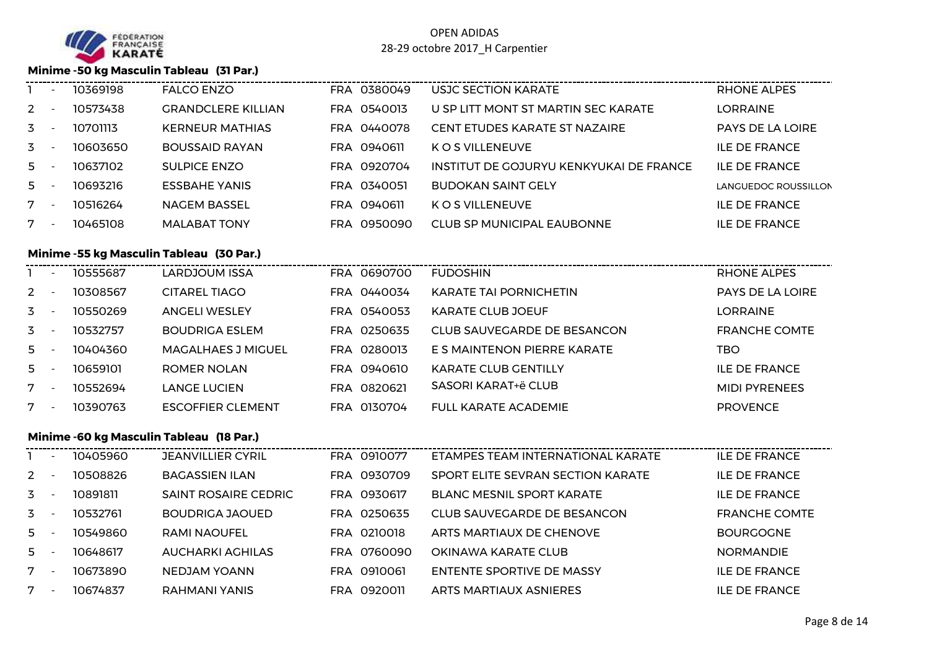

## **Minime -50 kg Masculin Tableau (31 Par.)**

|                | 10369198 | <b>FALCO ENZO</b>         | FRA 0380049 | USJC SECTION KARATE                     | RHONE ALPES             |
|----------------|----------|---------------------------|-------------|-----------------------------------------|-------------------------|
| 2              | 10573438 | <b>GRANDCLERE KILLIAN</b> | FRA 0540013 | U SP LITT MONT ST MARTIN SEC KARATE     | <b>LORRAINE</b>         |
| 3              | 10701113 | <b>KERNEUR MATHIAS</b>    | FRA 0440078 | CENT ETUDES KARATE ST NAZAIRE           | <b>PAYS DE LA LOIRE</b> |
| $\overline{3}$ | 10603650 | <b>BOUSSAID RAYAN</b>     | FRA 0940611 | K O S VILLENEUVE                        | <b>ILE DE FRANCE</b>    |
| $5 -$          | 10637102 | <b>SULPICE ENZO</b>       | FRA 0920704 | INSTITUT DE GOJURYU KENKYUKAI DE FRANCE | <b>ILE DE FRANCE</b>    |
| $5 -$          | 10693216 | <b>ESSBAHE YANIS</b>      | FRA 0340051 | <b>BUDOKAN SAINT GELY</b>               | LANGUEDOC ROUSSILLON    |
| 7              | 10516264 | <b>NAGEM BASSEL</b>       | FRA 0940611 | K O S VILLENEUVE                        | <b>ILE DE FRANCE</b>    |
| 7              | 10465108 | <b>MALABAT TONY</b>       | FRA 0950090 | CLUB SP MUNICIPAL EAUBONNE              | <b>ILE DE FRANCE</b>    |
|                |          |                           |             |                                         |                         |

### **Minime -55 kg Masculin Tableau (30 Par.)**

|       | $\overline{a}$ | 10555687 | LARDJOUM ISSA            | FRA 0690700 | <b>FUDOSHIN</b>             | RHONE ALPES             |
|-------|----------------|----------|--------------------------|-------------|-----------------------------|-------------------------|
| $2 -$ |                | 10308567 | CITAREL TIAGO            | FRA 0440034 | KARATE TAI PORNICHETIN      | <b>PAYS DE LA LOIRE</b> |
| $3 -$ |                | 10550269 | ANGELI WESLEY            | FRA 0540053 | <b>KARATE CLUB JOEUF</b>    | LORRAINE                |
| $3 -$ |                | 10532757 | <b>BOUDRIGA ESLEM</b>    | FRA 0250635 | CLUB SAUVEGARDE DE BESANCON | <b>FRANCHE COMTE</b>    |
| $5 -$ |                | 10404360 | MAGALHAES J MIGUEL       | FRA 0280013 | E S MAINTENON PIERRE KARATE | TBO                     |
| $5 -$ |                | 10659101 | ROMER NOLAN              | FRA 0940610 | <b>KARATE CLUB GENTILLY</b> | <b>ILE DE FRANCE</b>    |
| 7     | $\sim$         | 10552694 | LANGE LUCIEN             | FRA 0820621 | SASORI KARAT+ë CLUB         | <b>MIDI PYRENEES</b>    |
| 7     |                | 10390763 | <b>ESCOFFIER CLEMENT</b> | FRA 0130704 | <b>FULL KARATE ACADEMIE</b> | <b>PROVENCE</b>         |

#### **Minime -60 kg Masculin Tableau (18 Par.)**

|   | 10405960 | <b>JEANVILLIER CYRIL</b>    | FRA 0910077     | ETAMPES TEAM INTERNATIONAL KARATE | ILE DE FRANCE        |
|---|----------|-----------------------------|-----------------|-----------------------------------|----------------------|
| 2 | 10508826 | <b>BAGASSIEN ILAN</b>       | FRA 0930709     | SPORT ELITE SEVRAN SECTION KARATE | <b>ILE DE FRANCE</b> |
| 3 | 10891811 | <b>SAINT ROSAIRE CEDRIC</b> | FRA 0930617     | <b>BLANC MESNIL SPORT KARATE</b>  | <b>ILE DE FRANCE</b> |
| 3 | 10532761 | <b>BOUDRIGA JAOUED</b>      | 0250635<br>FRA  | CLUB SAUVEGARDE DE BESANCON       | <b>FRANCHE COMTE</b> |
| 5 | 10549860 | RAMI NAOUFEL                | FRA 0210018     | ARTS MARTIAUX DE CHENOVE          | <b>BOURGOGNE</b>     |
| 5 | 10648617 | AUCHARKI AGHILAS            | 0760090<br>FRA. | OKINAWA KARATE CLUB               | <b>NORMANDIE</b>     |
| 7 | 10673890 | NEDJAM YOANN                | 0910061<br>FRA. | ENTENTE SPORTIVE DE MASSY         | <b>ILE DE FRANCE</b> |
| 7 | 10674837 | RAHMANI YANIS               | FRA 0920011     | ARTS MARTIAUX ASNIERES            | <b>ILE DE FRANCE</b> |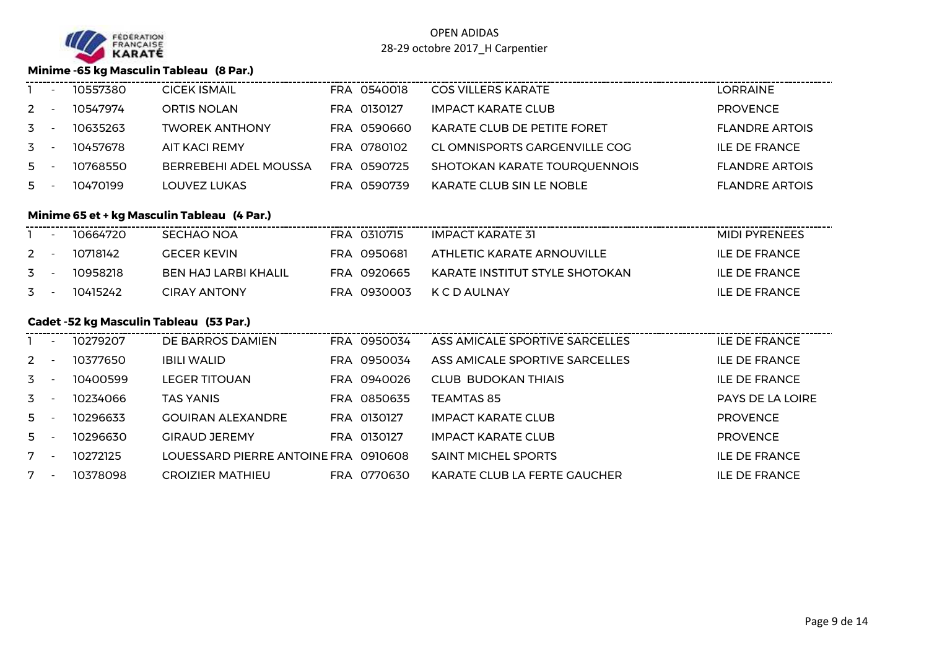

# **Minime -65 kg Masculin Tableau (8 Par.)**

|       | 10557380 | <b>CICEK ISMAIL</b>   | FRA 0540018 | <b>COS VILLERS KARATE</b>       | LORRAINE              |
|-------|----------|-----------------------|-------------|---------------------------------|-----------------------|
| $2 -$ | 10547974 | <b>ORTIS NOLAN</b>    | FRA 0130127 | <b>IMPACT KARATE CLUB</b>       | <b>PROVENCE</b>       |
| $3 -$ | 10635263 | <b>TWOREK ANTHONY</b> | FRA 0590660 | KARATE CLUB DE PETITE FORET     | <b>FLANDRE ARTOIS</b> |
| $3 -$ | 10457678 | <b>AIT KACI REMY</b>  | FRA 0780102 | CL OMNISPORTS GARGENVILLE COG   | <b>ILE DE FRANCE</b>  |
| $5 -$ | 10768550 | BERREBEHI ADEL MOUSSA | FRA 0590725 | SHOTOKAN KARATE TOURQUENNOIS    | <b>FLANDRE ARTOIS</b> |
| 5     | 10470199 | LOUVEZ LUKAS          | FRA 0590739 | <b>KARATE CLUB SIN LE NOBLE</b> | <b>FLANDRE ARTOIS</b> |
|       |          |                       |             |                                 |                       |

#### **Minime 65 et + kg Masculin Tableau (4 Par.)**

|       | 10664720 | <b>SECHAO NOA</b>    | FRA 0310715 | <b>IMPACT KARATE 31</b>        | MIDI PYRENEES |
|-------|----------|----------------------|-------------|--------------------------------|---------------|
| $2 -$ | 10718142 | <b>GECER KEVIN</b>   | FRA 0950681 | ATHLETIC KARATE ARNOUVILLE     | ILE DE FRANCE |
| 3 -   | 10958218 | BEN HAJ LARBI KHALIL | FRA 0920665 | KARATE INSTITUT STYLE SHOTOKAN | ILE DE FRANCE |
| 3 -   | 10415242 | <b>CIRAY ANTONY</b>  | FRA 0930003 | K C D AULNAY                   | ILE DE FRANCE |

### **Cadet -52 kg Masculin Tableau (53 Par.)**

|                | $\overline{\phantom{a}}$ | 10279207 | DE BARROS DAMIEN                     | FRA 0950034 | ASS AMICALE SPORTIVE SARCELLES | <b>ILE DE FRANCE</b>    |
|----------------|--------------------------|----------|--------------------------------------|-------------|--------------------------------|-------------------------|
| 2              |                          | 10377650 | <b>IBILI WALID</b>                   | FRA 0950034 | ASS AMICALE SPORTIVE SARCELLES | <b>ILE DE FRANCE</b>    |
| $\overline{3}$ |                          | 10400599 | <b>LEGER TITOUAN</b>                 | FRA 0940026 | <b>CLUB BUDOKAN THIAIS</b>     | <b>ILE DE FRANCE</b>    |
| 3              |                          | 10234066 | <b>TAS YANIS</b>                     | FRA 0850635 | <b>TEAMTAS 85</b>              | <b>PAYS DE LA LOIRE</b> |
| $5 -$          |                          | 10296633 | <b>GOUIRAN ALEXANDRE</b>             | FRA 0130127 | IMPACT KARATE CLUB             | <b>PROVENCE</b>         |
| $5 -$          |                          | 10296630 | <b>GIRAUD JEREMY</b>                 | FRA 0130127 | IMPACT KARATE CLUB             | <b>PROVENCE</b>         |
| 7              |                          | 10272125 | LOUESSARD PIERRE ANTOINE FRA 0910608 |             | <b>SAINT MICHEL SPORTS</b>     | <b>ILE DE FRANCE</b>    |
| 7              |                          | 10378098 | <b>CROIZIER MATHIEU</b>              | FRA 0770630 | KARATE CLUB LA FERTE GAUCHER   | <b>ILE DE FRANCE</b>    |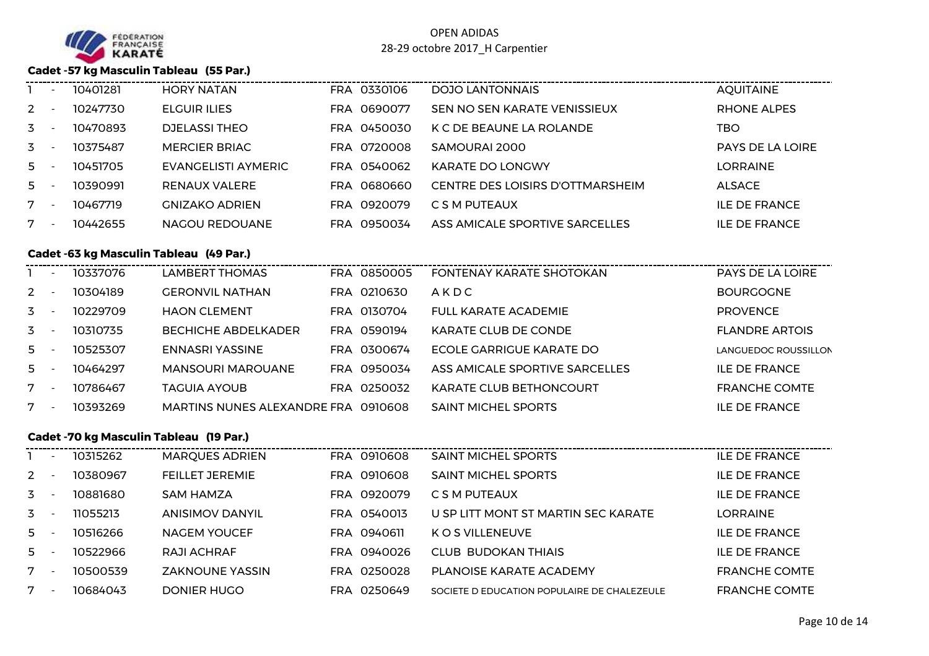

### **Cadet -57 kg Masculin Tableau (55 Par.)**

|                | $\overline{\phantom{a}}$ | 10401281 | <b>HORY NATAN</b>     | FRA 0330106 | DOJO LANTONNAIS                  | <b>AQUITAINE</b>        |
|----------------|--------------------------|----------|-----------------------|-------------|----------------------------------|-------------------------|
| $\overline{2}$ |                          | 10247730 | ELGUIR ILIES          | FRA 0690077 | SEN NO SEN KARATE VENISSIEUX     | RHONE ALPES             |
| $\overline{3}$ |                          | 10470893 | DJELASSI THEO         | FRA 0450030 | K C DE BEAUNE LA ROLANDE         | <b>TBO</b>              |
| 3              |                          | 10375487 | <b>MERCIER BRIAC</b>  | FRA 0720008 | SAMOURAI 2000                    | <b>PAYS DE LA LOIRE</b> |
| 5 <sup>7</sup> |                          | 10451705 | EVANGELISTI AYMERIC   | FRA 0540062 | <b>KARATE DO LONGWY</b>          | LORRAINE                |
| 5 <sup>7</sup> |                          | 10390991 | RENAUX VALERE         | FRA 0680660 | CENTRE DES LOISIRS D'OTTMARSHEIM | <b>ALSACE</b>           |
| 7              |                          | 10467719 | <b>GNIZAKO ADRIEN</b> | FRA 0920079 | C S M PUTEAUX                    | <b>ILE DE FRANCE</b>    |
| 7              |                          | 10442655 | NAGOU REDOUANE        | FRA 0950034 | ASS AMICALE SPORTIVE SARCELLES   | <b>ILE DE FRANCE</b>    |
|                |                          |          |                       |             |                                  |                         |

### **Cadet -63 kg Masculin Tableau (49 Par.)**

| FRA 0210630<br>$2^{\circ}$<br>10304189<br>AKDC<br><b>BOURGOGNE</b><br><b>GERONVIL NATHAN</b><br>3<br>10229709<br>FRA 0130704<br><b>PROVENCE</b><br><b>HAON CLEMENT</b><br><b>FULL KARATE ACADEMIE</b> | <b>PAYS DE LA LOIRE</b> |
|-------------------------------------------------------------------------------------------------------------------------------------------------------------------------------------------------------|-------------------------|
|                                                                                                                                                                                                       |                         |
|                                                                                                                                                                                                       |                         |
| FRA 0590194<br><b>FLANDRE ARTOIS</b><br>10310735<br><b>BECHICHE ABDELKADER</b><br>KARATE CLUB DE CONDE<br>3                                                                                           |                         |
| $5 -$<br>10525307<br>FRA 0300674<br><b>ENNASRI YASSINE</b><br>ECOLE GARRIGUE KARATE DO<br>LANGUEDOC ROUSSILLON                                                                                        |                         |
| $5 -$<br>FRA 0950034<br><b>ILE DE FRANCE</b><br>10464297<br><b>MANSOURI MAROUANE</b><br>ASS AMICALE SPORTIVE SARCELLES                                                                                |                         |
| FRA 0250032<br>10786467<br><b>FRANCHE COMTE</b><br><b>TAGUIA AYOUB</b><br><b>KARATE CLUB BETHONCOURT</b><br>$7\overline{ }$                                                                           |                         |
| <b>ILE DE FRANCE</b><br>10393269<br>7<br>MARTINS NUNES ALEXANDRE FRA 0910608<br><b>SAINT MICHEL SPORTS</b>                                                                                            |                         |

#### **Cadet -70 kg Masculin Tableau (19 Par.)**

| $\mathbf{1}$   | 10315262 | <b>MAROUES ADRIEN</b>  | FRA 0910608 | <b>SAINT MICHEL SPORTS</b>                  | <b>ILE DE FRANCE</b> |
|----------------|----------|------------------------|-------------|---------------------------------------------|----------------------|
| $2^{\circ}$    | 10380967 | FEILLET JEREMIE        | FRA 0910608 | <b>SAINT MICHEL SPORTS</b>                  | <b>ILE DE FRANCE</b> |
| $\overline{3}$ | 10881680 | SAM HAMZA              | FRA 0920079 | C S M PUTEAUX                               | <b>ILE DE FRANCE</b> |
| $\overline{3}$ | 11055213 | <b>ANISIMOV DANYIL</b> | FRA 0540013 | U SP LITT MONT ST MARTIN SEC KARATE         | <b>LORRAINE</b>      |
| 5              | 10516266 | NAGEM YOUCEF           | FRA 0940611 | K O S VILLENEUVE                            | <b>ILE DE FRANCE</b> |
| $5 -$          | 10522966 | RAJI ACHRAF            | FRA 0940026 | CLUB BUDOKAN THIAIS                         | <b>ILE DE FRANCE</b> |
| 7              | 10500539 | <b>ZAKNOUNE YASSIN</b> | FRA 0250028 | PLANOISE KARATE ACADEMY                     | <b>FRANCHE COMTE</b> |
| 7              | 10684043 | DONIER HUGO            | FRA 0250649 | SOCIETE D EDUCATION POPULAIRE DE CHALEZEULE | <b>FRANCHE COMTE</b> |
|                |          |                        |             |                                             |                      |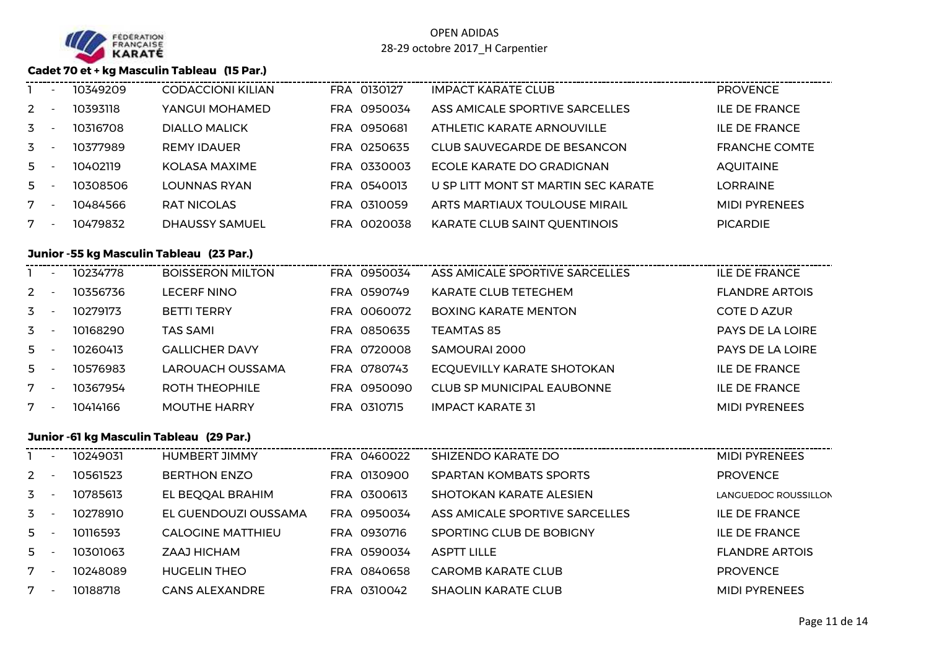

# **Cadet 70 et + kg Masculin Tableau (15 Par.)**

|                | 10349209 | <b>CODACCIONI KILIAN</b> | FRA 0130127    | <b>IMPACT KARATE CLUB</b>           | <b>PROVENCE</b>      |
|----------------|----------|--------------------------|----------------|-------------------------------------|----------------------|
| $2^{\circ}$    | 10393118 | YANGUI MOHAMED           | FRA 0950034    | ASS AMICALE SPORTIVE SARCELLES      | <b>ILE DE FRANCE</b> |
| $\overline{3}$ | 10316708 | <b>DIALLO MALICK</b>     | 0950681<br>FRA | ATHLETIC KARATE ARNOUVILLE          | <b>ILE DE FRANCE</b> |
| 3              | 10377989 | <b>REMY IDAUER</b>       | 0250635<br>FRA | CLUB SAUVEGARDE DE BESANCON         | <b>FRANCHE COMTE</b> |
| $5 -$          | 10402119 | KOLASA MAXIME            | FRA 0330003    | ECOLE KARATE DO GRADIGNAN           | <b>AQUITAINE</b>     |
| $5 -$          | 10308506 | LOUNNAS RYAN             | 0540013<br>FRA | U SP LITT MONT ST MARTIN SEC KARATE | <b>LORRAINE</b>      |
| 7              | 10484566 | <b>RAT NICOLAS</b>       | 0310059<br>FRA | ARTS MARTIAUX TOULOUSE MIRAIL       | <b>MIDI PYRENEES</b> |
| 7              | 10479832 | DHAUSSY SAMUEL           | 0020038<br>FRA | KARATE CLUB SAINT QUENTINOIS        | <b>PICARDIE</b>      |

### **Junior -55 kg Masculin Tableau (23 Par.)**

|       | $\sim$                   | 10234778 | <b>BOISSERON MILTON</b> | FRA 0950034 | ASS AMICALE SPORTIVE SARCELLES    | <b>ILE DE FRANCE</b>    |
|-------|--------------------------|----------|-------------------------|-------------|-----------------------------------|-------------------------|
| $2 -$ |                          | 10356736 | <b>LECERF NINO</b>      | FRA 0590749 | <b>KARATE CLUB TETEGHEM</b>       | <b>FLANDRE ARTOIS</b>   |
| $3 -$ |                          | 10279173 | <b>BETTI TERRY</b>      | FRA 0060072 | <b>BOXING KARATE MENTON</b>       | COTE D AZUR             |
| $3 -$ |                          | 10168290 | <b>TAS SAMI</b>         | FRA 0850635 | <b>TEAMTAS 85</b>                 | <b>PAYS DE LA LOIRE</b> |
| $5 -$ |                          | 10260413 | <b>GALLICHER DAVY</b>   | FRA 0720008 | SAMOURAI 2000                     | <b>PAYS DE LA LOIRE</b> |
| $5 -$ |                          | 10576983 | LAROUACH OUSSAMA        | FRA 0780743 | ECQUEVILLY KARATE SHOTOKAN        | <b>ILE DE FRANCE</b>    |
| 7     | $\overline{\phantom{a}}$ | 10367954 | <b>ROTH THEOPHILE</b>   | FRA 0950090 | <b>CLUB SP MUNICIPAL EAUBONNE</b> | <b>ILE DE FRANCE</b>    |
| 7     | $\overline{\phantom{a}}$ | 10414166 | <b>MOUTHE HARRY</b>     | FRA 0310715 | <b>IMPACT KARATE 31</b>           | <b>MIDI PYRENEES</b>    |

#### **Junior -61 kg Masculin Tableau (29 Par.)**

|                | 10249031 | <b>HUMBERT JIMMY</b>     | FRA 0460022 | SHIZENDO KARATE DO             | <b>MIDI PYRENEES</b>  |
|----------------|----------|--------------------------|-------------|--------------------------------|-----------------------|
| $\overline{2}$ | 10561523 | <b>BERTHON ENZO</b>      | FRA 0130900 | <b>SPARTAN KOMBATS SPORTS</b>  | <b>PROVENCE</b>       |
| 3              | 10785613 | EL BEQQAL BRAHIM         | FRA 0300613 | <b>SHOTOKAN KARATE ALESIEN</b> | LANGUEDOC ROUSSILLON  |
| 3              | 10278910 | EL GUENDOUZI OUSSAMA     | FRA 0950034 | ASS AMICALE SPORTIVE SARCELLES | <b>ILE DE FRANCE</b>  |
| 5              | 10116593 | <b>CALOGINE MATTHIEU</b> | FRA 0930716 | SPORTING CLUB DE BOBIGNY       | <b>ILE DE FRANCE</b>  |
| 5              | 10301063 | ZAAJ HICHAM              | FRA 0590034 | <b>ASPTT LILLE</b>             | <b>FLANDRE ARTOIS</b> |
| 7              | 10248089 | <b>HUGELIN THEO</b>      | FRA 0840658 | CAROMB KARATE CLUB             | <b>PROVENCE</b>       |
| 7              | 10188718 | <b>CANS ALEXANDRE</b>    | FRA 0310042 | <b>SHAOLIN KARATE CLUB</b>     | <b>MIDI PYRENEES</b>  |
|                |          |                          |             |                                |                       |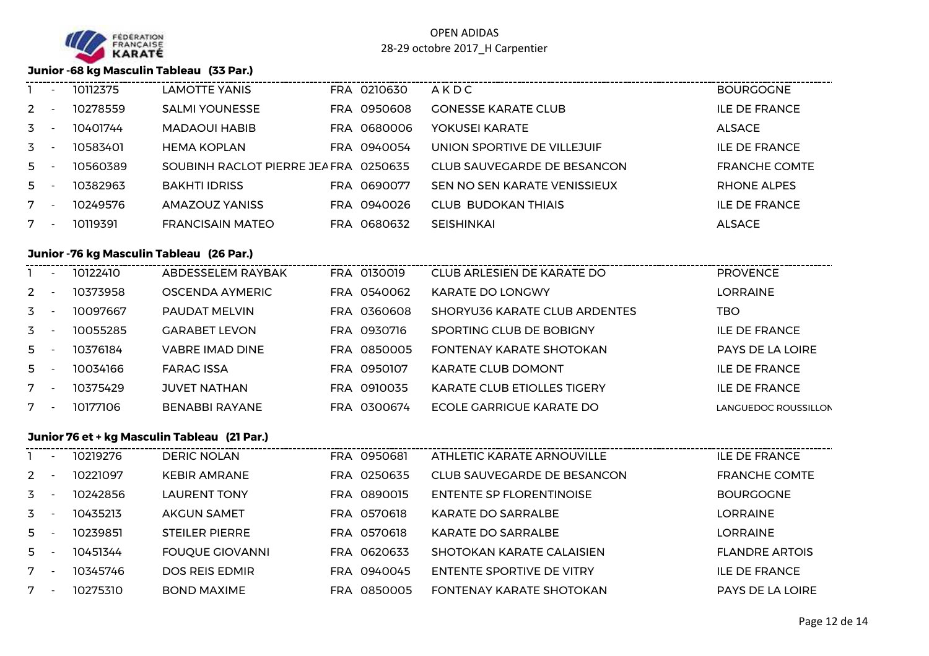

#### **Junior -68 kg Masculin Tableau (33 Par.)**

|             | $\overline{\phantom{a}}$ | 10112375 | LAMOTTE YANIS                         |     | FRA 0210630 | AKDC                         | <b>BOURGOGNE</b>     |
|-------------|--------------------------|----------|---------------------------------------|-----|-------------|------------------------------|----------------------|
| $2^{\circ}$ |                          | 10278559 | <b>SALMI YOUNESSE</b>                 | FRA | 0950608     | <b>GONESSE KARATE CLUB</b>   | <b>ILE DE FRANCE</b> |
| 3           |                          | 10401744 | MADAOUI HABIB                         | FRA | 0680006     | YOKUSEI KARATE               | <b>ALSACE</b>        |
| 3           |                          | 10583401 | HEMA KOPLAN                           | FRA | 0940054     | UNION SPORTIVE DE VILLEJUIF  | <b>ILE DE FRANCE</b> |
| $5 -$       |                          | 10560389 | SOUBINH RACLOT PIERRE JEA FRA 0250635 |     |             | CLUB SAUVEGARDE DE BESANCON  | <b>FRANCHE COMTE</b> |
| $5 -$       |                          | 10382963 | <b>BAKHTI IDRISS</b>                  |     | FRA 0690077 | SEN NO SEN KARATE VENISSIEUX | RHONE ALPES          |
| $7^{\circ}$ |                          | 10249576 | AMAZOUZ YANISS                        |     | FRA 0940026 | CLUB BUDOKAN THIAIS          | <b>ILE DE FRANCE</b> |
| 7           |                          | 10119391 | <b>FRANCISAIN MATEO</b>               | FRA | 0680632     | <b>SEISHINKAI</b>            | <b>ALSACE</b>        |
|             |                          |          |                                       |     |             |                              |                      |

### **Junior -76 kg Masculin Tableau (26 Par.)**

| FRA 0540062<br>$2^{\circ}$<br>10373958<br><b>KARATE DO LONGWY</b><br>OSCENDA AYMERIC<br>$\sim$                        | <b>LORRAINE</b>         |
|-----------------------------------------------------------------------------------------------------------------------|-------------------------|
| 3<br>10097667<br>FRA 0360608<br>PAUDAT MELVIN<br><b>SHORYU36 KARATE CLUB ARDENTES</b>                                 | TBO                     |
| FRA 0930716<br>$3 -$<br>10055285<br>GARABET LEVON<br>SPORTING CLUB DE BOBIGNY                                         | <b>ILE DE FRANCE</b>    |
| $5 -$<br>10376184<br>FRA 0850005<br>VABRE IMAD DINE<br>FONTENAY KARATE SHOTOKAN                                       | <b>PAYS DE LA LOIRE</b> |
| $5 -$<br>10034166<br>FRA 0950107<br><b>FARAG ISSA</b><br><b>KARATE CLUB DOMONT</b>                                    | <b>ILE DE FRANCE</b>    |
| 10375429<br>FRA 0910035<br>7<br><b>JUVET NATHAN</b><br><b>KARATE CLUB ETIOLLES TIGERY</b><br>$\overline{\phantom{a}}$ | <b>ILE DE FRANCE</b>    |
| 7<br>10177106<br><b>BENABBI RAYANE</b><br>FRA 0300674<br>ECOLE GARRIGUE KARATE DO                                     | LANGUEDOC ROUSSILLON    |

#### **Junior 76 et + kg Masculin Tableau (21 Par.)**

|                | 10219276 | DERIC NOLAN            | FRA 0950681 | ATHLETIC KARATE ARNOUVILLE      | <b>ILE DE FRANCE</b>  |
|----------------|----------|------------------------|-------------|---------------------------------|-----------------------|
| $2^{\circ}$    | 10221097 | <b>KEBIR AMRANE</b>    | FRA 0250635 | CLUB SAUVEGARDE DE BESANCON     | <b>FRANCHE COMTE</b>  |
| 3              | 10242856 | <b>LAURENT TONY</b>    | FRA 0890015 | <b>ENTENTE SP FLORENTINOISE</b> | <b>BOURGOGNE</b>      |
| $\overline{3}$ | 10435213 | <b>AKGUN SAMET</b>     | FRA 0570618 | KARATE DO SARRALBE              | LORRAINE              |
| $5 -$          | 10239851 | <b>STEILER PIERRE</b>  | FRA 0570618 | KARATE DO SARRALBE              | LORRAINE              |
| 5.             | 10451344 | <b>FOUQUE GIOVANNI</b> | FRA 0620633 | SHOTOKAN KARATE CALAISIEN       | <b>FLANDRE ARTOIS</b> |
| $7^{\circ}$    | 10345746 | <b>DOS REIS EDMIR</b>  | FRA 0940045 | ENTENTE SPORTIVE DE VITRY       | <b>ILE DE FRANCE</b>  |
| $7^{\circ}$    | 10275310 | <b>BOND MAXIME</b>     | FRA 0850005 | FONTENAY KARATE SHOTOKAN        | PAYS DE LA LOIRE      |
|                |          |                        |             |                                 |                       |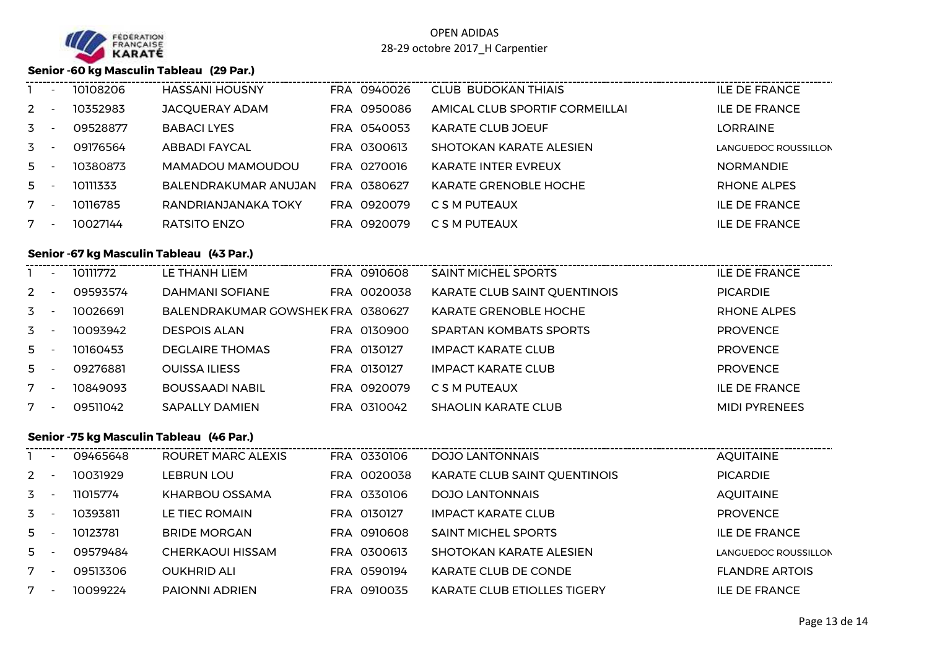

### **Senior -60 kg Masculin Tableau (29 Par.)**

|                | $\overline{\phantom{a}}$ | 10108206 | <b>HASSANI HOUSNY</b> | FRA 0940026 | <b>CLUB BUDOKAN THIAIS</b>     | <b>ILE DE FRANCE</b> |
|----------------|--------------------------|----------|-----------------------|-------------|--------------------------------|----------------------|
| 2              |                          | 10352983 | JACOUERAY ADAM        | FRA 0950086 | AMICAL CLUB SPORTIF CORMEILLAI | <b>ILE DE FRANCE</b> |
| $\overline{3}$ |                          | 09528877 | <b>BABACILYES</b>     | FRA 0540053 | <b>KARATE CLUB JOEUF</b>       | <b>LORRAINE</b>      |
| $\overline{3}$ |                          | 09176564 | ABBADI FAYCAL         | FRA 0300613 | <b>SHOTOKAN KARATE ALESIEN</b> | LANGUEDOC ROUSSILLON |
| $5 -$          |                          | 10380873 | MAMADOU MAMOUDOU      | FRA 0270016 | <b>KARATE INTER EVREUX</b>     | <b>NORMANDIE</b>     |
| 5 <sup>7</sup> |                          | 10111333 | BALENDRAKUMAR ANUJAN  | FRA 0380627 | <b>KARATE GRENOBLE HOCHE</b>   | RHONE ALPES          |
| $7^{\circ}$    |                          | 10116785 | RANDRIANJANAKA TOKY   | FRA 0920079 | C S M PUTEAUX                  | <b>ILE DE FRANCE</b> |
| 7              |                          | 10027144 | RATSITO ENZO          | FRA 0920079 | C S M PUTEAUX                  | <b>ILE DE FRANCE</b> |
|                |                          |          |                       |             |                                |                      |

### **Senior -67 kg Masculin Tableau (43 Par.)**

|                | $\overline{\phantom{a}}$ | 10111772 | LE THANH LIEM                     | FRA 0910608 | <b>SAINT MICHEL SPORTS</b>    | <b>ILE DE FRANCE</b> |
|----------------|--------------------------|----------|-----------------------------------|-------------|-------------------------------|----------------------|
| $2 -$          |                          | 09593574 | <b>DAHMANI SOFIANE</b>            | FRA 0020038 | KARATE CLUB SAINT QUENTINOIS  | <b>PICARDIE</b>      |
| $\overline{3}$ | $\sim$                   | 10026691 | BALENDRAKUMAR GOWSHEK FRA 0380627 |             | <b>KARATE GRENOBLE HOCHE</b>  | RHONE ALPES          |
| $3 -$          |                          | 10093942 | <b>DESPOIS ALAN</b>               | FRA 0130900 | <b>SPARTAN KOMBATS SPORTS</b> | <b>PROVENCE</b>      |
| $5 -$          |                          | 10160453 | <b>DEGLAIRE THOMAS</b>            | FRA 0130127 | <b>IMPACT KARATE CLUB</b>     | <b>PROVENCE</b>      |
| $5 -$          |                          | 09276881 | <b>OUISSA ILIESS</b>              | FRA 0130127 | <b>IMPACT KARATE CLUB</b>     | <b>PROVENCE</b>      |
| $7^{\circ}$    | $\overline{\phantom{a}}$ | 10849093 | <b>BOUSSAADI NABIL</b>            | FRA 0920079 | C S M PUTEAUX                 | <b>ILE DE FRANCE</b> |
| 7 <sup>7</sup> | $\overline{\phantom{a}}$ | 09511042 | <b>SAPALLY DAMIEN</b>             | FRA 0310042 | <b>SHAOLIN KARATE CLUB</b>    | <b>MIDI PYRENEES</b> |
|                |                          |          |                                   |             |                               |                      |

#### **Senior -75 kg Masculin Tableau (46 Par.)**

|                | 09465648 | <b>ROURET MARC ALEXIS</b> | FRA 0330106 | DOJO LANTONNAIS                    | <b>AQUITAINE</b>            |
|----------------|----------|---------------------------|-------------|------------------------------------|-----------------------------|
| $\overline{2}$ | 10031929 | <b>LEBRUN LOU</b>         | FRA 0020038 | KARATE CLUB SAINT QUENTINOIS       | <b>PICARDIE</b>             |
| $\overline{3}$ | 11015774 | <b>KHARBOU OSSAMA</b>     | FRA 0330106 | <b>DOJO LANTONNAIS</b>             | <b>AQUITAINE</b>            |
| 3              | 10393811 | LE TIEC ROMAIN            | FRA 0130127 | <b>IMPACT KARATE CLUB</b>          | <b>PROVENCE</b>             |
| 5              | 10123781 | <b>BRIDE MORGAN</b>       | FRA 0910608 | <b>SAINT MICHEL SPORTS</b>         | <b>ILE DE FRANCE</b>        |
| 5              | 09579484 | CHERKAOUI HISSAM          | FRA 0300613 | <b>SHOTOKAN KARATE ALESIEN</b>     | <b>LANGUEDOC ROUSSILLON</b> |
| 7              | 09513306 | <b>OUKHRID ALI</b>        | FRA 0590194 | <b>KARATE CLUB DE CONDE</b>        | <b>FLANDRE ARTOIS</b>       |
| 7              | 10099224 | <b>PAIONNI ADRIEN</b>     | FRA 0910035 | <b>KARATE CLUB ETIOLLES TIGERY</b> | <b>ILE DE FRANCE</b>        |
|                |          |                           |             |                                    |                             |